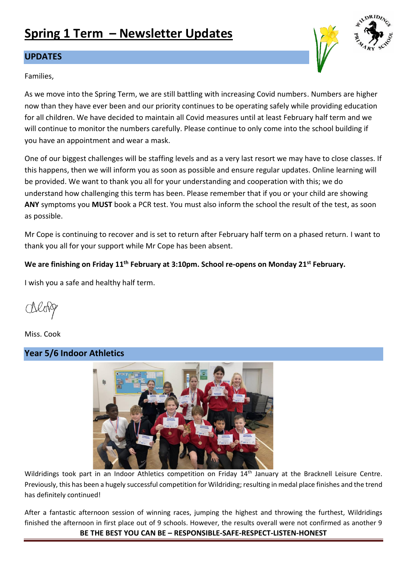# **Spring 1 Term – Newsletter Updates**

## **UPDATES**

### Families,

As we move into the Spring Term, we are still battling with increasing Covid numbers. Numbers are higher now than they have ever been and our priority continues to be operating safely while providing education for all children. We have decided to maintain all Covid measures until at least February half term and we will continue to monitor the numbers carefully. Please continue to only come into the school building if you have an appointment and wear a mask.

One of our biggest challenges will be staffing levels and as a very last resort we may have to close classes. If this happens, then we will inform you as soon as possible and ensure regular updates. Online learning will be provided. We want to thank you all for your understanding and cooperation with this; we do understand how challenging this term has been. Please remember that if you or your child are showing **ANY** symptoms you **MUST** book a PCR test. You must also inform the school the result of the test, as soon as possible.

Mr Cope is continuing to recover and is set to return after February half term on a phased return. I want to thank you all for your support while Mr Cope has been absent.

# **We are finishing on Friday 11th February at 3:10pm. School re-opens on Monday 21st February.**

I wish you a safe and healthy half term.

Miss. Cook

# **Year 5/6 Indoor Athletics**



Wildridings took part in an Indoor Athletics competition on Friday 14<sup>th</sup> January at the Bracknell Leisure Centre. Previously, this has been a hugely successful competition for Wildriding; resulting in medal place finishes and the trend has definitely continued!

**BE THE BEST YOU CAN BE – RESPONSIBLE-SAFE-RESPECT-LISTEN-HONEST** After a fantastic afternoon session of winning races, jumping the highest and throwing the furthest, Wildridings finished the afternoon in first place out of 9 schools. However, the results overall were not confirmed as another 9